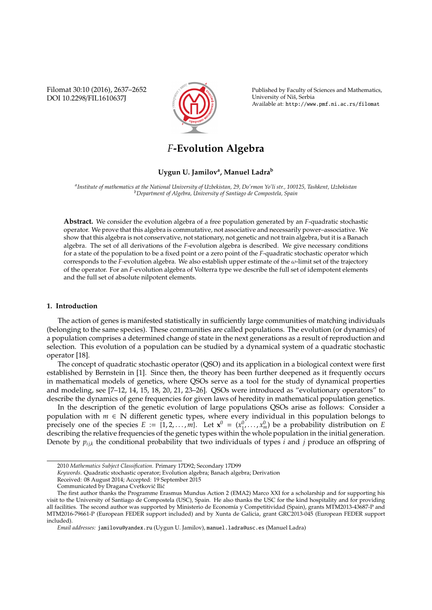Filomat 30:10 (2016), 2637–2652 DOI 10.2298/FIL1610637J



Published by Faculty of Sciences and Mathematics, University of Niš, Serbia Available at: http://www.pmf.ni.ac.rs/filomat

# *F***-Evolution Algebra**

## **Uygun U. Jamilov<sup>a</sup> , Manuel Ladra<sup>b</sup>**

*a Institute of mathematics at the National University of Uzbekistan, 29, Do'rmon Yo'li str., 100125, Tashkent, Uzbekistan <sup>b</sup>Department of Algebra, University of Santiago de Compostela, Spain*

**Abstract.** We consider the evolution algebra of a free population generated by an *F*-quadratic stochastic operator. We prove that this algebra is commutative, not associative and necessarily power–associative. We show that this algebra is not conservative, not stationary, not genetic and not train algebra, but it is a Banach algebra. The set of all derivations of the *F*-evolution algebra is described. We give necessary conditions for a state of the population to be a fixed point or a zero point of the *F*-quadratic stochastic operator which corresponds to the *F*-evolution algebra. We also establish upper estimate of the  $\omega$ -limit set of the trajectory of the operator. For an *F*-evolution algebra of Volterra type we describe the full set of idempotent elements and the full set of absolute nilpotent elements.

#### **1. Introduction**

The action of genes is manifested statistically in sufficiently large communities of matching individuals (belonging to the same species). These communities are called populations. The evolution (or dynamics) of a population comprises a determined change of state in the next generations as a result of reproduction and selection. This evolution of a population can be studied by a dynamical system of a quadratic stochastic operator [18].

The concept of quadratic stochastic operator (QSO) and its application in a biological context were first established by Bernstein in [1]. Since then, the theory has been further deepened as it frequently occurs in mathematical models of genetics, where QSOs serve as a tool for the study of dynamical properties and modeling, see [7–12, 14, 15, 18, 20, 21, 23–26]. QSOs were introduced as "evolutionary operators" to describe the dynamics of gene frequencies for given laws of heredity in mathematical population genetics.

In the description of the genetic evolution of large populations QSOs arise as follows: Consider a population with  $m \in \mathbb{N}$  different genetic types, where every individual in this population belongs to precisely one of the species  $E := \{1, 2, ..., m\}$ . Let  $\mathbf{x}^0 = (x_1^0, ..., x_m^0)$  be a probability distribution on *E* describing the relative frequencies of the genetic types within the whole population in the initial generation. Denote by  $p_{ijk}$  the conditional probability that two individuals of types *i* and *j* produce an offspring of

<sup>2010</sup> *Mathematics Subject Classification*. Primary 17D92; Secondary 17D99

*Keywords*. Quadratic stochastic operator; Evolution algebra; Banach algebra; Derivation

Received: 08 August 2014; Accepted: 19 September 2015

Communicated by Dragana Cvetković Ilić

The first author thanks the Programme Erasmus Mundus Action 2 (EMA2) Marco XXI for a scholarship and for supporting his visit to the University of Santiago de Compostela (USC), Spain. He also thanks the USC for the kind hospitality and for providing all facilities. The second author was supported by Ministerio de Economía y Competitividad (Spain), grants MTM2013-43687-P and MTM2016-79661-P (European FEDER support included) and by Xunta de Galicia, grant GRC2013-045 (European FEDER support included).

*Email addresses:* jamilovu@yandex.ru (Uygun U. Jamilov), manuel.ladra@usc.es (Manuel Ladra)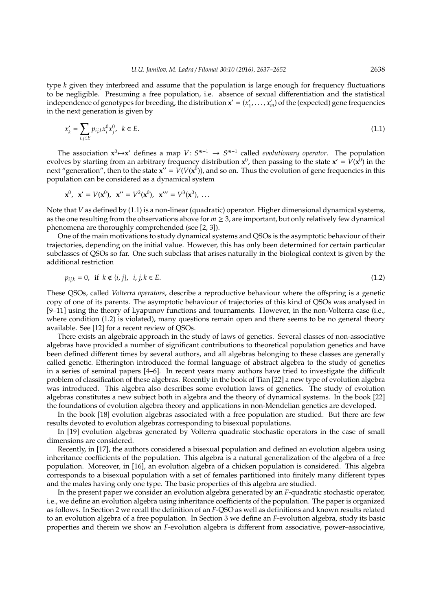type *k* given they interbreed and assume that the population is large enough for frequency fluctuations to be negligible. Presuming a free population, i.e. absence of sexual differentiation and the statistical independence of genotypes for breeding, the distribution  $\mathbf{x}' = (x_1')$  $T_1', \ldots, X_m'$  of the (expected) gene frequencies in the next generation is given by

$$
x'_{k} = \sum_{i,j \in E} p_{ij,k} x_i^0 x_j^0, \quad k \in E. \tag{1.1}
$$

The association  $x^0 \mapsto x'$  defines a map  $V: S^{m-1} \to S^{m-1}$  called *evolutionary operator*. The population evolves by starting from an arbitrary frequency distribution  $x^0$ , then passing to the state  $x' = V(x^0)$  in the next "generation", then to the state  $x'' = V(V(x^0))$ , and so on. Thus the evolution of gene frequencies in this population can be considered as a dynamical system

$$
\mathbf{x}^0
$$
,  $\mathbf{x}' = V(\mathbf{x}^0)$ ,  $\mathbf{x}'' = V^2(\mathbf{x}^0)$ ,  $\mathbf{x}''' = V^3(\mathbf{x}^0)$ , ...

Note that *V* as defined by (1.1) is a non-linear (quadratic) operator. Higher dimensional dynamical systems, as the one resulting from the observations above for  $m \geq 3$ , are important, but only relatively few dynamical phenomena are thoroughly comprehended (see [2, 3]).

One of the main motivations to study dynamical systems and QSOs is the asymptotic behaviour of their trajectories, depending on the initial value. However, this has only been determined for certain particular subclasses of QSOs so far. One such subclass that arises naturally in the biological context is given by the additional restriction

$$
p_{ijk} = 0, \text{ if } k \notin \{i, j\}, \ i, j, k \in E. \tag{1.2}
$$

These QSOs, called *Volterra operators*, describe a reproductive behaviour where the offspring is a genetic copy of one of its parents. The asymptotic behaviour of trajectories of this kind of QSOs was analysed in [9–11] using the theory of Lyapunov functions and tournaments. However, in the non-Volterra case (i.e., where condition (1.2) is violated), many questions remain open and there seems to be no general theory available. See [12] for a recent review of QSOs.

There exists an algebraic approach in the study of laws of genetics. Several classes of non-associative algebras have provided a number of significant contributions to theoretical population genetics and have been defined different times by several authors, and all algebras belonging to these classes are generally called genetic. Etherington introduced the formal language of abstract algebra to the study of genetics in a series of seminal papers [4–6]. In recent years many authors have tried to investigate the difficult problem of classification of these algebras. Recently in the book of Tian [22] a new type of evolution algebra was introduced. This algebra also describes some evolution laws of genetics. The study of evolution algebras constitutes a new subject both in algebra and the theory of dynamical systems. In the book [22] the foundations of evolution algebra theory and applications in non-Mendelian genetics are developed.

In the book [18] evolution algebras associated with a free population are studied. But there are few results devoted to evolution algebras corresponding to bisexual populations.

In [19] evolution algebras generated by Volterra quadratic stochastic operators in the case of small dimensions are considered.

Recently, in [17], the authors considered a bisexual population and defined an evolution algebra using inheritance coefficients of the population. This algebra is a natural generalization of the algebra of a free population. Moreover, in [16], an evolution algebra of a chicken population is considered. This algebra corresponds to a bisexual population with a set of females partitioned into finitely many different types and the males having only one type. The basic properties of this algebra are studied.

In the present paper we consider an evolution algebra generated by an *F*-quadratic stochastic operator, i.e., we define an evolution algebra using inheritance coefficients of the population. The paper is organized as follows. In Section 2 we recall the definition of an *F*-QSO as well as definitions and known results related to an evolution algebra of a free population. In Section 3 we define an *F*-evolution algebra, study its basic properties and therein we show an *F*-evolution algebra is different from associative, power–associative,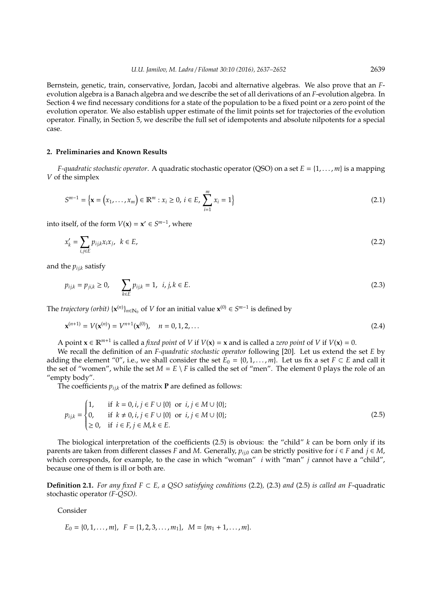Bernstein, genetic, train, conservative, Jordan, Jacobi and alternative algebras. We also prove that an *F*evolution algebra is a Banach algebra and we describe the set of all derivations of an *F*-evolution algebra. In Section 4 we find necessary conditions for a state of the population to be a fixed point or a zero point of the evolution operator. We also establish upper estimate of the limit points set for trajectories of the evolution operator. Finally, in Section 5, we describe the full set of idempotents and absolute nilpotents for a special case.

#### **2. Preliminaries and Known Results**

*F-quadratic stochastic operator*. A quadratic stochastic operator (QSO) on a set *E* = {1, . . . , *m*} is a mapping *V* of the simplex

$$
S^{m-1} = \left\{ \mathbf{x} = (x_1, \dots, x_m) \in \mathbb{R}^m : x_i \ge 0, \ i \in E, \ \sum_{i=1}^m x_i = 1 \right\}
$$
 (2.1)

into itself, of the form  $V(\mathbf{x}) = \mathbf{x}' \in S^{m-1}$ , where

$$
x'_{k} = \sum_{i,j \in E} p_{ij,k} x_i x_j, \quad k \in E,
$$
\n
$$
(2.2)
$$

and the  $p_{iik}$  satisfy

$$
p_{ijk} = p_{jik} \ge 0, \qquad \sum_{k \in E} p_{ijk} = 1, \ \ i, j, k \in E. \tag{2.3}
$$

The *trajectory (orbit)*  $\{x^{(n)}\}_{n\in\mathbb{N}_0}$  of *V* for an initial value  $x^{(0)} \in S^{m-1}$  is defined by

$$
\mathbf{x}^{(n+1)} = V(\mathbf{x}^{(n)}) = V^{n+1}(\mathbf{x}^{(0)}), \quad n = 0, 1, 2, \dots
$$
\n(2.4)

A point **x** ∈  $\mathbb{R}^{m+1}$  is called a *fixed point* of *V* if *V*(**x**) = **x** and is called a *zero point* of *V* if *V*(**x**) = 0.

We recall the definition of an *F-quadratic stochastic operator* following [20]. Let us extend the set *E* by adding the element "0", i.e., we shall consider the set  $E_0 = \{0, 1, \ldots, m\}$ . Let us fix a set  $F \subset E$  and call it the set of "women", while the set  $M = E \setminus F$  is called the set of "men". The element 0 plays the role of an "empty body".

The coefficients  $p_{ijk}$  of the matrix **P** are defined as follows:

$$
p_{ijk} = \begin{cases} 1, & \text{if } k = 0, i, j \in F \cup \{0\} \text{ or } i, j \in M \cup \{0\}; \\ 0, & \text{if } k \neq 0, i, j \in F \cup \{0\} \text{ or } i, j \in M \cup \{0\}; \\ \ge 0, & \text{if } i \in F, j \in M, k \in E. \end{cases}
$$
(2.5)

The biological interpretation of the coefficients (2.5) is obvious: the "child" *k* can be born only if its parents are taken from different classes *F* and *M*. Generally,  $p_{ij,0}$  can be strictly positive for  $i \in F$  and  $j \in M$ , which corresponds, for example, to the case in which "woman" *i* with "man" *j* cannot have a "child", because one of them is ill or both are.

**Definition 2.1.** *For any fixed F* ⊂ *E, a QSO satisfying conditions* (2.2), (2.3) *and* (2.5) *is called an F*-quadratic stochastic operator *(F-QSO).*

Consider

$$
E_0 = \{0, 1, \ldots, m\}, \ \ F = \{1, 2, 3, \ldots, m_1\}, \ \ M = \{m_1 + 1, \ldots, m\}.
$$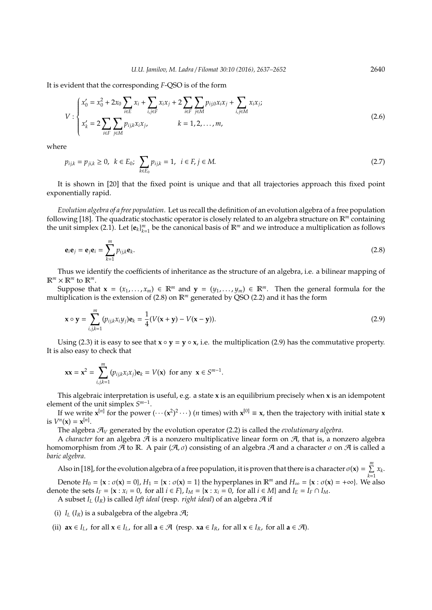It is evident that the corresponding *F*-QSO is of the form

$$
V: \begin{cases} x_0' = x_0^2 + 2x_0 \sum_{i \in E} x_i + \sum_{i,j \in F} x_i x_j + 2 \sum_{i \in F} \sum_{j \in M} p_{ij,0} x_i x_j + \sum_{i,j \in M} x_i x_j; \\ x_k' = 2 \sum_{i \in F} \sum_{j \in M} p_{ij,k} x_i x_j, & k = 1, 2, ..., m, \end{cases}
$$
(2.6)

where

$$
p_{ijk} = p_{ji,k} \ge 0, \ \ k \in E_0; \ \sum_{k \in E_0} p_{ijk} = 1, \ \ i \in F, j \in M. \tag{2.7}
$$

It is shown in [20] that the fixed point is unique and that all trajectories approach this fixed point exponentially rapid.

*Evolution algebra of a free population*. Let us recall the definition of an evolution algebra of a free population following [18]. The quadratic stochastic operator is closely related to an algebra structure on R*<sup>m</sup>* containing the unit simplex (2.1). Let  $\{e_k\}_{k=1}^m$  be the canonical basis of  $\mathbb{R}^m$  and we introduce a multiplication as follows

$$
\mathbf{e}_i \mathbf{e}_j = \mathbf{e}_j \mathbf{e}_i = \sum_{k=1}^m p_{ij,k} \mathbf{e}_k.
$$
 (2.8)

Thus we identify the coefficients of inheritance as the structure of an algebra, i.e. a bilinear mapping of  $\mathbb{R}^m \times \mathbb{R}^m$  to  $\mathbb{R}^m$ .

Suppose that  $\mathbf{x} = (x_1, \dots, x_m) \in \mathbb{R}^m$  and  $\mathbf{y} = (y_1, \dots, y_m) \in \mathbb{R}^m$ . Then the general formula for the multiplication is the extension of (2.8) on R*<sup>m</sup>* generated by QSO (2.2) and it has the form

$$
\mathbf{x} \circ \mathbf{y} = \sum_{i,j,k=1}^{m} (p_{ij,k} x_i y_j) \mathbf{e}_k = \frac{1}{4} (V(\mathbf{x} + \mathbf{y}) - V(\mathbf{x} - \mathbf{y})).
$$
 (2.9)

Using (2.3) it is easy to see that  $\mathbf{x} \circ \mathbf{y} = \mathbf{y} \circ \mathbf{x}$ , i.e. the multiplication (2.9) has the commutative property. It is also easy to check that

$$
\mathbf{x}\mathbf{x}=\mathbf{x}^2=\sum_{i,j,k=1}^m(p_{ij,k}x_ix_j)\mathbf{e}_k=V(\mathbf{x})\ \text{ for any }\ \mathbf{x}\in S^{m-1}.
$$

This algebraic interpretation is useful, e.g. a state **x** is an equilibrium precisely when **x** is an idempotent element of the unit simplex  $S^{m-1}$ .

If we write  $x^{[n]}$  for the power  $(\cdots(x^2)^2 \cdots)$  (*n* times) with  $x^{[0]} \equiv x$ , then the trajectory with initial state x is  $V^n(x) = x^{[n]}$ .

The algebra A*<sup>V</sup>* generated by the evolution operator (2.2) is called the *evolutionary algebra*.

A *character* for an algebra  $\mathcal{A}$  is a nonzero multiplicative linear form on  $\mathcal{A}$ , that is, a nonzero algebra homomorphism from  $\mathcal A$  to  $\mathbb R$ . A pair  $(\mathcal A, \sigma)$  consisting of an algebra  $\mathcal A$  and a character  $\sigma$  on  $\mathcal A$  is called a *baric algebra*.

Also in [18], for the evolution algebra of a free population, it is proven that there is a character  $\sigma(\mathbf{x}) = \sum_{n=1}^{m}$  $\sum_{k=1}$   $x_k$ . Denote  $H_0 = \{x : \sigma(x) = 0\}$ ,  $H_1 = \{x : \sigma(x) = 1\}$  the hyperplanes in  $\mathbb{R}^m$  and  $H_\infty = \{x : \sigma(x) = +\infty\}$ . We also denote the sets  $I_F = \{x : x_i = 0$ , for all  $i \in F\}$ ,  $I_M = \{x : x_i = 0$ , for all  $i \in M\}$  and  $I_E = I_F \cap I_M$ .

A subset  $I_L$  ( $I_R$ ) is called *left ideal* (resp. *right ideal*) of an algebra  $\mathcal{A}$  if

- (i)  $I_L$  ( $I_R$ ) is a subalgebra of the algebra  $\mathcal{A}$ ;
- (ii)  $ax \in I_L$ , for all  $x \in I_L$ , for all  $a \in \mathcal{A}$  (resp.  $xa \in I_R$ , for all  $x \in I_R$ , for all  $a \in \mathcal{A}$ ).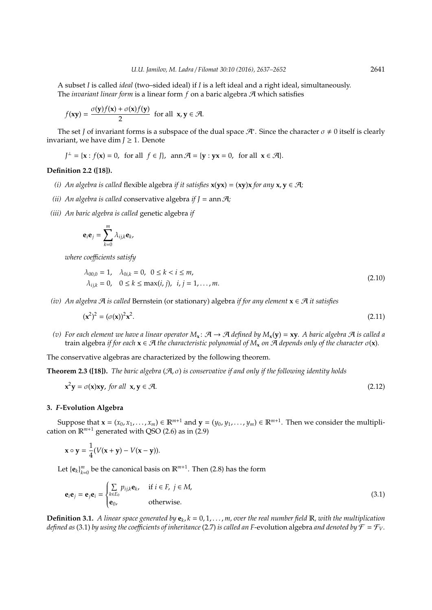A subset *I* is called *ideal* (two–sided ideal) if *I* is a left ideal and a right ideal, simultaneously. The *invariant linear form* is a linear form  $f$  on a baric algebra  $\mathcal{A}$  which satisfies

$$
f(\mathbf{xy}) = \frac{\sigma(\mathbf{y})f(\mathbf{x}) + \sigma(\mathbf{x})f(\mathbf{y})}{2} \text{ for all } \mathbf{x}, \mathbf{y} \in \mathcal{A}.
$$

The set *J* of invariant forms is a subspace of the dual space  $\mathcal{A}^*$ . Since the character  $\sigma \neq 0$  itself is clearly invariant, we have dim  $J \geq 1$ . Denote

$$
J^{\perp} = \{ \mathbf{x} : f(\mathbf{x}) = 0, \text{ for all } f \in J \}, \text{ ann } \mathcal{A} = \{ \mathbf{y} : \mathbf{y}\mathbf{x} = 0, \text{ for all } \mathbf{x} \in \mathcal{A} \}.
$$

#### **Definition 2.2 ([18]).**

- *(i)* An algebra is called flexible algebra *if it satisfies*  $\mathbf{x}(\mathbf{y}\mathbf{x}) = (\mathbf{x}\mathbf{y})\mathbf{x}$  *for any*  $\mathbf{x}, \mathbf{y} \in \mathcal{A}$ *;*
- *(ii)* An algebra is called conservative algebra if  $J = \text{ann } \mathcal{A}$ ;
- *(iii) An baric algebra is called* genetic algebra *if*

,

$$
\mathbf{e}_i \mathbf{e}_j = \sum_{k=0}^m \lambda_{ij,k} \mathbf{e}_k
$$

*where coe*ffi*cients satisfy*

$$
\lambda_{00,0} = 1, \quad \lambda_{0i,k} = 0, \quad 0 \le k < i \le m,
$$
\n
$$
\lambda_{ij,k} = 0, \quad 0 \le k \le \max(i,j), \quad i, j = 1, \dots, m.
$$
\n
$$
(2.10)
$$

*(iv) An algebra* A *is called* Bernstein (or stationary) algebra *if for any element* **x** ∈ A *it satisfies*

$$
({\bf x}^2)^2 = (\sigma({\bf x}))^2 {\bf x}^2. \tag{2.11}
$$

*(v)* For each element we have a linear operator  $M_x$ :  $A \to A$  defined by  $M_x(\mathbf{y}) = \mathbf{xy}$ . A baric algebra  $A$  is called a train algebra *if for each*  $\mathbf{x} \in \mathcal{A}$  *the characteristic polynomial of*  $M_{\mathbf{x}}$  *on*  $\mathcal{A}$  *depends only of the character*  $\sigma(\mathbf{x})$ *.* 

The conservative algebras are characterized by the following theorem.

**Theorem 2.3 ([18]).** *The baric algebra* (A, σ) *is conservative if and only if the following identity holds*

$$
x^2y = \sigma(x)xy, \text{ for all } x, y \in \mathcal{A}.\tag{2.12}
$$

## **3.** *F***-Evolution Algebra**

Suppose that  $\mathbf{x} = (x_0, x_1, \dots, x_m) \in \mathbb{R}^{m+1}$  and  $\mathbf{y} = (y_0, y_1, \dots, y_m) \in \mathbb{R}^{m+1}$ . Then we consider the multiplication on  $\mathbb{R}^{m+1}$  generated with QSO (2.6) as in (2.9)

$$
\mathbf{x} \circ \mathbf{y} = \frac{1}{4}(V(\mathbf{x} + \mathbf{y}) - V(\mathbf{x} - \mathbf{y})).
$$

Let  $\{\mathbf{e}_k\}_{k=0}^m$  be the canonical basis on  $\mathbb{R}^{m+1}$ . Then (2.8) has the form

$$
\mathbf{e}_{i}\mathbf{e}_{j} = \mathbf{e}_{j}\mathbf{e}_{i} = \begin{cases} \sum_{k \in E_{0}} p_{ij,k}\mathbf{e}_{k}, & \text{if } i \in F, j \in M, \\ \mathbf{e}_{0}, & \text{otherwise.} \end{cases}
$$
(3.1)

**Definition 3.1.** A linear space generated by  $e_k$ ,  $k = 0, 1, ..., m$ , over the real number field  $\mathbb{R}$ , with the multiplication *defined as* (3.1) *by using the coefficients of inheritance* (2.7) *is called an F*-evolution algebra *and denoted by*  $\mathcal{F} = \mathcal{F}_V$ *.*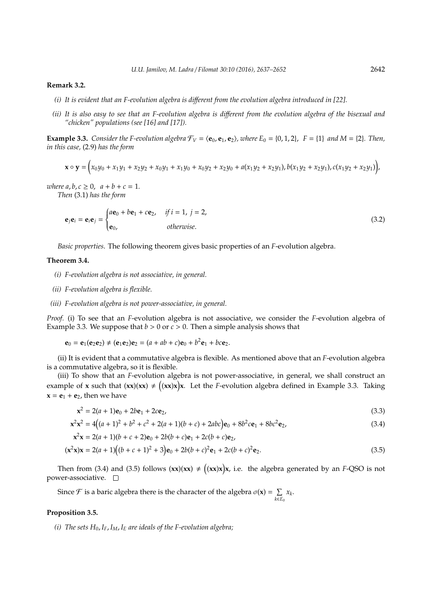### **Remark 3.2.**

- *(i) It is evident that an F-evolution algebra is di*ff*erent from the evolution algebra introduced in [22].*
- *(ii) It is also easy to see that an F-evolution algebra is di*ff*erent from the evolution algebra of the bisexual and "chicken" populations (see [16] and [17]).*

**Example 3.3.** *Consider the F-evolution algebra*  $\mathcal{F}_V = \langle \mathbf{e}_0, \mathbf{e}_1, \mathbf{e}_2 \rangle$ *, where*  $E_0 = \{0, 1, 2\}$ ,  $F = \{1\}$  *and*  $M = \{2\}$ *. Then, in this case,* (2.9) *has the form*

$$
\mathbf{x} \circ \mathbf{y} = (x_0y_0 + x_1y_1 + x_2y_2 + x_0y_1 + x_1y_0 + x_0y_2 + x_2y_0 + a(x_1y_2 + x_2y_1), b(x_1y_2 + x_2y_1), c(x_1y_2 + x_2y_1)),
$$

*where*  $a, b, c \ge 0$ ,  $a + b + c = 1$ . *Then* (3.1) *has the form*

$$
\mathbf{e}_j \mathbf{e}_i = \mathbf{e}_i \mathbf{e}_j = \begin{cases} a\mathbf{e}_0 + b\mathbf{e}_1 + c\mathbf{e}_2, & \text{if } i = 1, j = 2, \\ \mathbf{e}_0, & \text{otherwise.} \end{cases}
$$
(3.2)

*Basic properties*. The following theorem gives basic properties of an *F*-evolution algebra.

### **Theorem 3.4.**

- *(i) F-evolution algebra is not associative, in general.*
- *(ii) F-evolution algebra is flexible.*
- *(iii) F-evolution algebra is not power-associative, in general.*

*Proof.* (i) To see that an *F*-evolution algebra is not associative, we consider the *F*-evolution algebra of Example 3.3. We suppose that  $b > 0$  or  $c > 0$ . Then a simple analysis shows that

$$
\mathbf{e}_0 = \mathbf{e}_1(\mathbf{e}_2 \mathbf{e}_2) \neq (\mathbf{e}_1 \mathbf{e}_2) \mathbf{e}_2 = (a + ab + c) \mathbf{e}_0 + b^2 \mathbf{e}_1 + b c \mathbf{e}_2.
$$

(ii) It is evident that a commutative algebra is flexible. As mentioned above that an *F*-evolution algebra is a commutative algebra, so it is flexible.

(iii) To show that an *F*-evolution algebra is not power-associative, in general, we shall construct an example of **x** such that  $(xx)(xx) \neq ((xx)x)x$ . Let the *F*-evolution algebra defined in Example 3.3. Taking  $x = e_1 + e_2$ , then we have

$$
x^2 = 2(a+1)e_0 + 2be_1 + 2ce_2,
$$
\n(3.3)

$$
\mathbf{x}^2 \mathbf{x}^2 = 4\left( (a+1)^2 + b^2 + c^2 + 2(a+1)(b+c) + 2abc \right) \mathbf{e}_0 + 8b^2 c \mathbf{e}_1 + 8bc^2 \mathbf{e}_2,\tag{3.4}
$$

$$
\mathbf{x}^2 \mathbf{x} = 2(a+1)(b+c+2)\mathbf{e}_0 + 2b(b+c)\mathbf{e}_1 + 2c(b+c)\mathbf{e}_2,
$$
  
\n
$$
(\mathbf{x}^2 \mathbf{x})\mathbf{x} = 2(a+1)(b+c+1)^2 + 3\mathbf{e}_0 + 2b(b+c)^2\mathbf{e}_1 + 2c(b+c)^2\mathbf{e}_2.
$$
\n(3.5)

Then from (3.4) and (3.5) follows  $(xx)(xx) \neq ((xx)x)x$ , i.e. the algebra generated by an *F*-QSO is not power-associative.  $\square$ 

Since  $\mathcal F$  is a baric algebra there is the character of the algebra  $\sigma(\mathbf x) = \sum$  $\sum_{k∈E_0} x_k$ .

## **Proposition 3.5.**

*(i)* The sets  $H_0$ ,  $I_F$ ,  $I_M$ ,  $I_F$  are ideals of the F-evolution algebra;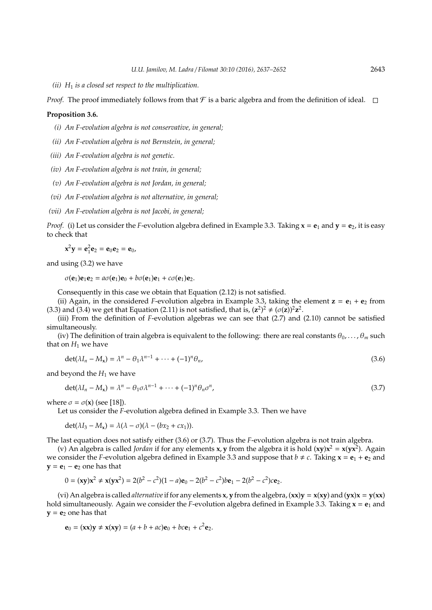*(ii)*  $H_1$  *is a closed set respect to the multiplication.* 

*Proof.* The proof immediately follows from that  $\mathcal F$  is a baric algebra and from the definition of ideal.  $\Box$ 

#### **Proposition 3.6.**

- *(i) An F-evolution algebra is not conservative, in general;*
- *(ii) An F-evolution algebra is not Bernstein, in general;*
- *(iii) An F-evolution algebra is not genetic.*
- *(iv) An F-evolution algebra is not train, in general;*
- *(v) An F-evolution algebra is not Jordan, in general;*
- *(vi) An F-evolution algebra is not alternative, in general;*
- *(vii) An F-evolution algebra is not Jacobi, in general;*

*Proof.* (i) Let us consider the *F*-evolution algebra defined in Example 3.3. Taking  $\mathbf{x} = \mathbf{e}_1$  and  $\mathbf{y} = \mathbf{e}_2$ , it is easy to check that

$$
x^2y = e_1^2e_2 = e_0e_2 = e_0,
$$

and using (3.2) we have

 $\sigma(\mathbf{e}_1)\mathbf{e}_1\mathbf{e}_2 = a\sigma(\mathbf{e}_1)\mathbf{e}_0 + b\sigma(\mathbf{e}_1)\mathbf{e}_1 + c\sigma(\mathbf{e}_1)\mathbf{e}_2.$ 

Consequently in this case we obtain that Equation (2.12) is not satisfied.

(ii) Again, in the considered *F*-evolution algebra in Example 3.3, taking the element  $z = e_1 + e_2$  from (3.3) and (3.4) we get that Equation (2.11) is not satisfied, that is,  $(z^2)^2 \neq (\sigma(z))^2 z^2$ .

(iii) From the definition of *F*-evolution algebras we can see that (2.7) and (2.10) cannot be satisfied simultaneously.

(iv) The definition of train algebra is equivalent to the following: there are real constants  $\theta_0, \ldots, \theta_m$  such that on  $H_1$  we have

$$
\det(\lambda I_n - M_{\mathbf{x}}) = \lambda^n - \theta_1 \lambda^{n-1} + \dots + (-1)^n \theta_n,\tag{3.6}
$$

and beyond the  $H_1$  we have

$$
\det(\lambda I_n - M_{\mathbf{x}}) = \lambda^n - \theta_1 \sigma \lambda^{n-1} + \dots + (-1)^n \theta_n \sigma^n, \tag{3.7}
$$

where  $\sigma = \sigma(\mathbf{x})$  (see [18]).

Let us consider the *F*-evolution algebra defined in Example 3.3. Then we have

$$
\det(\lambda I_3 - M_{\mathbf{x}}) = \lambda(\lambda - \sigma)(\lambda - (bx_2 + cx_1)).
$$

The last equation does not satisfy either (3.6) or (3.7). Thus the *F*-evolution algebra is not train algebra.

(v) An algebra is called *Jordan* if for any elements **x**, **y** from the algebra it is hold  $(xy)x^2 = x(yx^2)$ . Again we consider the *F*-evolution algebra defined in Example 3.3 and suppose that  $b \neq c$ . Taking  $\mathbf{x} = \mathbf{e}_1 + \mathbf{e}_2$  and  $y = e_1 - e_2$  one has that

$$
0 = (xy)x^{2} \neq x(yx^{2}) = 2(b^{2} - c^{2})(1 - a)e_{0} - 2(b^{2} - c^{2})be_{1} - 2(b^{2} - c^{2})ce_{2}.
$$

(vi) An algebra is called *alternative* if for any elements **x**, **y** from the algebra,  $(xx)y = x(xy)$  and  $(yx)x = y(xx)$ hold simultaneously. Again we consider the *F*-evolution algebra defined in Example 3.3. Taking  $\mathbf{x} = \mathbf{e}_1$  and  **one has that** 

$$
\mathbf{e}_0 = (\mathbf{x}\mathbf{x})\mathbf{y} \neq \mathbf{x}(\mathbf{x}\mathbf{y}) = (a + b + ac)\mathbf{e}_0 + bc\mathbf{e}_1 + c^2\mathbf{e}_2.
$$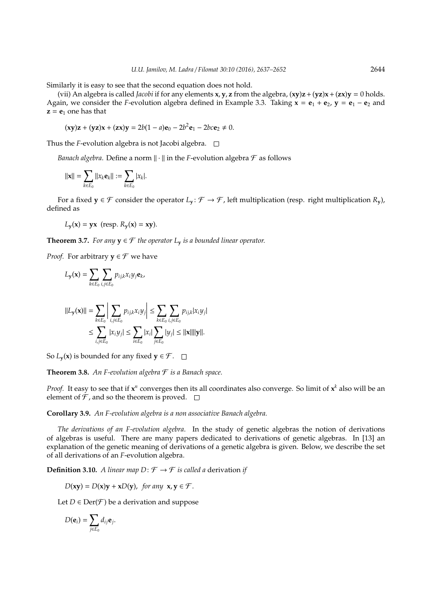Similarly it is easy to see that the second equation does not hold.

(vii) An algebra is called *Jacobi* if for any elements **x**, **y**, **z** from the algebra, (**xy**)**z**+(**yz**)**x**+(**zx**)**y** = 0 holds. Again, we consider the *F*-evolution algebra defined in Example 3.3. Taking  $x = e_1 + e_2$ ,  $y = e_1 - e_2$  and  $z = e_1$  one has that

$$
(xy)z + (yz)x + (zx)y = 2b(1 - a)e_0 - 2b^2e_1 - 2bce_2 \neq 0.
$$

Thus the *F*-evolution algebra is not Jacobi algebra.  $\Box$ 

*Banach algebra*. Define a norm  $\|\cdot\|$  in the *F*-evolution algebra  $\mathcal F$  as follows

$$
||\mathbf{x}|| = \sum_{k \in E_0} ||x_k \mathbf{e}_k|| := \sum_{k \in E_0} |x_k|.
$$

For a fixed  $y \in \mathcal{F}$  consider the operator  $L_y : \mathcal{F} \to \mathcal{F}$ , left multiplication (resp. right multiplication  $R_y$ ), defined as

$$
L_{\mathbf{y}}(\mathbf{x}) = \mathbf{y}\mathbf{x} \ \ (\text{resp. } R_{\mathbf{y}}(\mathbf{x}) = \mathbf{x}\mathbf{y}).
$$

**Theorem 3.7.** *For any*  $y \in \mathcal{F}$  *the operator*  $L_y$  *is a bounded linear operator.* 

*Proof.* For arbitrary  $y \in \mathcal{F}$  we have

$$
L_{\mathbf{y}}(\mathbf{x}) = \sum_{k \in E_0} \sum_{i,j \in E_0} p_{ij,k} x_i y_j \mathbf{e}_k,
$$

$$
||L_{\mathbf{y}}(\mathbf{x})|| = \sum_{k \in E_0} \left| \sum_{i,j \in E_0} p_{ij,k} x_i y_j \right| \le \sum_{k \in E_0} \sum_{i,j \in E_0} p_{ij,k} |x_i y_j|
$$
  

$$
\le \sum_{i,j \in E_0} |x_i y_j| \le \sum_{i \in E_0} |x_i| \sum_{j \in E_0} |y_j| \le ||\mathbf{x}|| ||\mathbf{y}||.
$$

So  $L_{\mathbf{v}}(\mathbf{x})$  is bounded for any fixed  $\mathbf{y} \in \mathcal{F}$ .  $\Box$ 

**Theorem 3.8.** *An F-evolution algebra* F *is a Banach space.*

*Proof.* It easy to see that if  $x^n$  converges then its all coordinates also converge. So limit of  $x^k$  also will be an element of  $\mathcal F$ , and so the theorem is proved.  $\Box$ 

**Corollary 3.9.** *An F-evolution algebra is a non associative Banach algebra.*

*The derivations of an F-evolution algebra*. In the study of genetic algebras the notion of derivations of algebras is useful. There are many papers dedicated to derivations of genetic algebras. In [13] an explanation of the genetic meaning of derivations of a genetic algebra is given. Below, we describe the set of all derivations of an *F*-evolution algebra.

**Definition 3.10.** *A linear map*  $D: \mathcal{F} \rightarrow \mathcal{F}$  *is called a derivation if* 

 $D(xy) = D(x)y + xD(y)$ , for any  $x, y \in \mathcal{F}$ .

Let  $D \in \text{Der}(\mathcal{F})$  be a derivation and suppose

$$
D(\mathbf{e}_i)=\sum_{j\in E_0}d_{ij}\mathbf{e}_j.
$$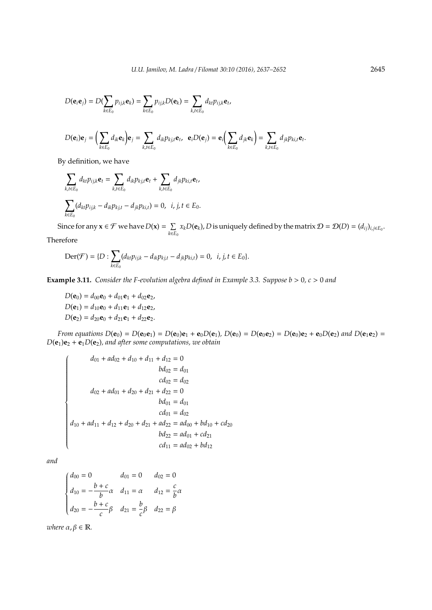$$
D(\mathbf{e}_i\mathbf{e}_j)=D(\sum_{k\in E_0}p_{ij,k}\mathbf{e}_k)=\sum_{k\in E_0}p_{ij,k}D(\mathbf{e}_k)=\sum_{k,t\in E_0}d_{kt}p_{ij,k}\mathbf{e}_t,
$$

$$
D(\mathbf{e}_i)\mathbf{e}_j = \Big(\sum_{k\in E_0}d_{ik}\mathbf{e}_k\Big)\mathbf{e}_j = \sum_{k,t\in E_0}d_{ik}p_{kj,t}\mathbf{e}_t, \ \ \mathbf{e}_iD(\mathbf{e}_j) = \mathbf{e}_i\Big(\sum_{k\in E_0}d_{jk}\mathbf{e}_k\Big) = \sum_{k,t\in E_0}d_{jk}p_{ki,t}\mathbf{e}_t.
$$

By definition, we have

$$
\sum_{k,t \in E_0} d_{kt} p_{ij,k} \mathbf{e}_t = \sum_{k,t \in E_0} d_{ik} p_{kj,t} \mathbf{e}_t + \sum_{k,t \in E_0} d_{jk} p_{ki,t} \mathbf{e}_t,
$$
  

$$
\sum_{k \in E_0} (d_{kt} p_{ij,k} - d_{ik} p_{kj,t} - d_{jk} p_{ki,t}) = 0, i, j, t \in E_0.
$$

Since for any  $\mathbf{x} \in \mathcal{F}$  we have  $D(\mathbf{x}) = \sum$  $\sum_{k\in E_0} x_k D(\mathbf{e}_k)$ , *D* is uniquely defined by the matrix  $\mathcal{D} = \mathcal{D}(D) = (d_{ij})_{i,j\in E_0}$ . Therefore

$$
\text{Der}(\mathcal{F}) = \{D : \sum_{k \in E_0} (d_{kt} p_{ij,k} - d_{ik} p_{kj,t} - d_{jk} p_{ki,t}) = 0, \ \ i, j, t \in E_0 \}.
$$

**Example 3.11.** *Consider the F-evolution algebra defined in Example 3.3. Suppose b > 0, c > 0 and* 

 $D(\mathbf{e}_0) = d_{00}\mathbf{e}_0 + d_{01}\mathbf{e}_1 + d_{02}\mathbf{e}_2$  $D(\mathbf{e}_1) = d_{10}\mathbf{e}_0 + d_{11}\mathbf{e}_1 + d_{12}\mathbf{e}_2$  $D(\mathbf{e}_2) = d_{20}\mathbf{e}_0 + d_{21}\mathbf{e}_1 + d_{22}\mathbf{e}_2.$ 

From equations  $D(e_0) = D(e_0e_1) = D(e_0)e_1 + e_0D(e_1)$ ,  $D(e_0) = D(e_0e_2) = D(e_0)e_2 + e_0D(e_2)$  and  $D(e_1e_2) =$  $D(\mathbf{e}_1)\mathbf{e}_2 + \mathbf{e}_1 D(\mathbf{e}_2)$ , and after some computations, we obtain

$$
d_{01} + ad_{02} + d_{10} + d_{11} + d_{12} = 0
$$
  
\n
$$
bd_{02} = d_{01}
$$
  
\n
$$
cd_{02} = d_{02}
$$
  
\n
$$
d_{02} + ad_{01} + d_{20} + d_{21} + d_{22} = 0
$$
  
\n
$$
bd_{01} = d_{01}
$$
  
\n
$$
cd_{01} = d_{02}
$$
  
\n
$$
d_{10} + ad_{11} + d_{12} + d_{20} + d_{21} + ad_{22} = ad_{00} + bd_{10} + cd_{20}
$$
  
\n
$$
bd_{22} = ad_{01} + cd_{21}
$$
  
\n
$$
cd_{11} = ad_{02} + bd_{12}
$$

*and*

$$
\begin{cases}\nd_{00} = 0 & d_{01} = 0 & d_{02} = 0 \\
d_{10} = -\frac{b+c}{b}\alpha & d_{11} = \alpha & d_{12} = \frac{c}{b}\alpha \\
d_{20} = -\frac{b+c}{c}\beta & d_{21} = \frac{b}{c}\beta & d_{22} = \beta\n\end{cases}
$$

*where*  $\alpha, \beta \in \mathbb{R}$ *.*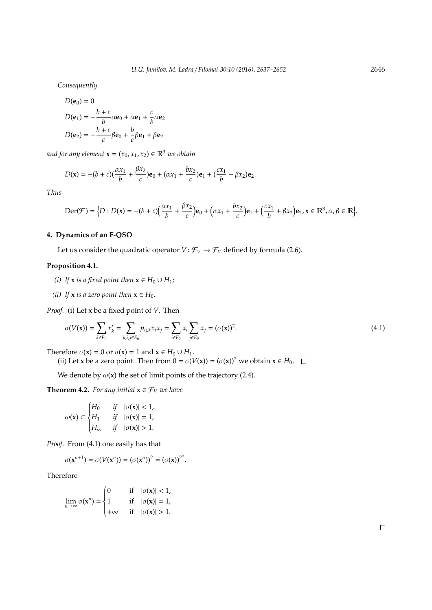*Consequently*

$$
D(\mathbf{e}_0) = 0
$$
  
\n
$$
D(\mathbf{e}_1) = -\frac{b+c}{b}\alpha \mathbf{e}_0 + \alpha \mathbf{e}_1 + \frac{c}{b}\alpha \mathbf{e}_2
$$
  
\n
$$
D(\mathbf{e}_2) = -\frac{b+c}{c}\beta \mathbf{e}_0 + \frac{b}{c}\beta \mathbf{e}_1 + \beta \mathbf{e}_2
$$

*and for any element*  $\mathbf{x} = (x_0, x_1, x_2) \in \mathbb{R}^3$  *we obtain* 

$$
D(\mathbf{x}) = -(b+c)\left(\frac{\alpha x_1}{b} + \frac{\beta x_2}{c}\right)\mathbf{e}_0 + (\alpha x_1 + \frac{bx_2}{c})\mathbf{e}_1 + (\frac{cx_1}{b} + \beta x_2)\mathbf{e}_2.
$$

*Thus*

$$
\text{Der}(\mathcal{F}) = \left\{ D : D(\mathbf{x}) = -(b+c)\left(\frac{\alpha x_1}{b} + \frac{\beta x_2}{c}\right)\mathbf{e}_0 + \left(\alpha x_1 + \frac{b x_2}{c}\right)\mathbf{e}_1 + \left(\frac{c x_1}{b} + \beta x_2\right)\mathbf{e}_2, \mathbf{x} \in \mathbb{R}^3, \alpha, \beta \in \mathbb{R} \right\}.
$$

## **4. Dynamics of an F-QSO**

Let us consider the quadratic operator  $V: \mathcal{F}_V \to \mathcal{F}_V$  defined by formula (2.6).

# **Proposition 4.1.**

- *(i) If* **x** *is a fixed point then*  $\mathbf{x} \in H_0 \cup H_1$ *;*
- *(ii) If* **x** *is a zero point then*  $\mathbf{x} \in H_0$ *.*

*Proof.* (i) Let **x** be a fixed point of *V*. Then

$$
\sigma(V(\mathbf{x})) = \sum_{k \in E_0} x'_k = \sum_{k,i,j \in E_0} p_{ij,k} x_i x_j = \sum_{i \in E_0} x_i \sum_{j \in E_0} x_j = (\sigma(\mathbf{x}))^2.
$$
\n(4.1)

Therefore  $\sigma(\mathbf{x}) = 0$  or  $\sigma(\mathbf{x}) = 1$  and  $\mathbf{x} \in H_0 \cup H_1$ .

(ii) Let **x** be a zero point. Then from  $0 = \sigma(V(\mathbf{x})) = (\sigma(\mathbf{x}))^2$  we obtain  $\mathbf{x} \in H_0$ .  $\square$ 

We denote by  $\omega(x)$  the set of limit points of the trajectory (2.4).

**Theorem 4.2.** *For any initial*  $\mathbf{x} \in \mathcal{F}_V$  *we have* 

$$
\omega(\mathbf{x}) \subset \begin{cases} H_0 & \text{if} \quad |\sigma(\mathbf{x})| < 1, \\ H_1 & \text{if} \quad |\sigma(\mathbf{x})| = 1, \\ H_\infty & \text{if} \quad |\sigma(\mathbf{x})| > 1. \end{cases}
$$

*Proof.* From (4.1) one easily has that

$$
\sigma(\mathbf{x}^{n+1}) = \sigma(V(\mathbf{x}^n)) = (\sigma(\mathbf{x}^n))^2 = (\sigma(\mathbf{x}))^{2^n}.
$$

Therefore

$$
\lim_{n \to \infty} \sigma(\mathbf{x}^n) = \begin{cases} 0 & \text{if } |\sigma(\mathbf{x})| < 1, \\ 1 & \text{if } |\sigma(\mathbf{x})| = 1, \\ +\infty & \text{if } |\sigma(\mathbf{x})| > 1. \end{cases}
$$

 $\Box$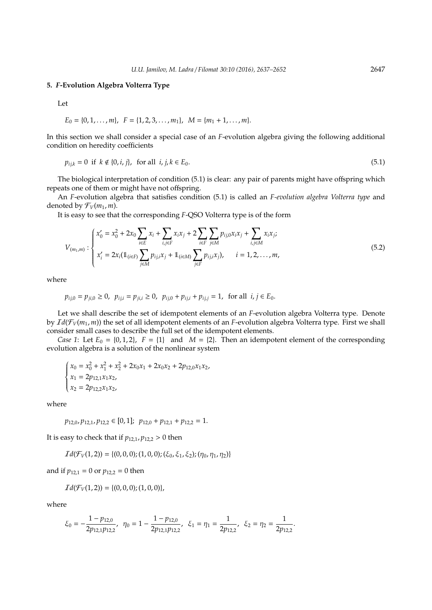## **5.** *F***-Evolution Algebra Volterra Type**

Let

$$
E_0 = \{0, 1, \ldots, m\}, \ \ F = \{1, 2, 3, \ldots, m_1\}, \ \ M = \{m_1 + 1, \ldots, m\}.
$$

In this section we shall consider a special case of an *F*-evolution algebra giving the following additional condition on heredity coefficients

$$
p_{ijk} = 0 \text{ if } k \notin \{0, i, j\}, \text{ for all } i, j, k \in E_0. \tag{5.1}
$$

The biological interpretation of condition (5.1) is clear: any pair of parents might have offspring which repeats one of them or might have not offspring.

An *F*-evolution algebra that satisfies condition (5.1) is called an *F-evolution algebra Volterra type* and denoted by  $\mathcal{F}_V(m_1, m)$ .

It is easy to see that the corresponding *F*-QSO Volterra type is of the form

$$
V_{(m_1,m)}: \begin{cases} x'_0 = x_0^2 + 2x_0 \sum_{i \in E} x_i + \sum_{i,j \in F} x_i x_j + 2 \sum_{i \in F} \sum_{j \in M} p_{ij,0} x_i x_j + \sum_{i,j \in M} x_i x_j, \\ x'_i = 2x_i (\mathbb{1}_{\{i \in F\}} \sum_{j \in M} p_{ij,i} x_j + \mathbb{1}_{\{i \in M\}} \sum_{j \in F} p_{ij,i} x_j), \quad i = 1, 2, ..., m, \end{cases} \tag{5.2}
$$

where

$$
p_{ij,0} = p_{ji,0} \ge 0, \ \ p_{ij,i} = p_{ji,i} \ge 0, \ \ p_{ij,0} + p_{ij,i} + p_{ij,j} = 1, \text{ for all } i, j \in E_0.
$$

Let we shall describe the set of idempotent elements of an *F*-evolution algebra Volterra type. Denote by  $Id(\mathcal{F}_V(m_1,m))$  the set of all idempotent elements of an *F*-evolution algebra Volterra type. First we shall consider small cases to describe the full set of the idempotent elements.

*Case 1*: Let  $E_0 = \{0, 1, 2\}$ ,  $F = \{1\}$  and  $M = \{2\}$ . Then an idempotent element of the corresponding evolution algebra is a solution of the nonlinear system

$$
\begin{cases}\nx_0 = x_0^2 + x_1^2 + x_2^2 + 2x_0x_1 + 2x_0x_2 + 2p_{12,0}x_1x_2, \\
x_1 = 2p_{12,1}x_1x_2, \\
x_2 = 2p_{12,2}x_1x_2,\n\end{cases}
$$

where

$$
p_{12,0}, p_{12,1}, p_{12,2} \in [0,1]; \ p_{12,0} + p_{12,1} + p_{12,2} = 1.
$$

It is easy to check that if  $p_{12,1}, p_{12,2} > 0$  then

$$
Id(\mathcal{F}_V(1,2)) = \{(0,0,0); (1,0,0); (\xi_0,\xi_1,\xi_2); (\eta_0,\eta_1,\eta_2)\}
$$

and if  $p_{12,1} = 0$  or  $p_{12,2} = 0$  then

$$
Id(\mathcal{F}_V(1,2))=\{(0,0,0);(1,0,0)\},
$$

where

$$
\xi_0=-\frac{1-p_{12,0}}{2p_{12,1}p_{12,2}}, \ \ \eta_0=1-\frac{1-p_{12,0}}{2p_{12,1}p_{12,2}}, \ \ \xi_1=\eta_1=\frac{1}{2p_{12,2}}, \ \ \xi_2=\eta_2=\frac{1}{2p_{12,2}}.
$$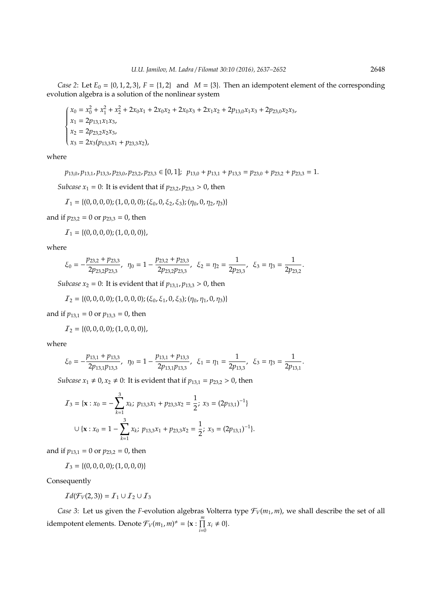*Case 2*: Let  $E_0 = \{0, 1, 2, 3\}$ ,  $F = \{1, 2\}$  and  $M = \{3\}$ . Then an idempotent element of the corresponding evolution algebra is a solution of the nonlinear system

$$
\begin{cases}\nx_0 = x_0^2 + x_1^2 + x_2^2 + 2x_0x_1 + 2x_0x_2 + 2x_0x_3 + 2x_1x_2 + 2p_{13,0}x_1x_3 + 2p_{23,0}x_2x_3, \\
x_1 = 2p_{13,1}x_1x_3, \\
x_2 = 2p_{23,2}x_2x_3, \\
x_3 = 2x_3(p_{13,3}x_1 + p_{23,3}x_2),\n\end{cases}
$$

where

 $p_{13,0}, p_{13,1}, p_{13,3}, p_{23,0}, p_{23,2}, p_{23,3} \in [0,1]; p_{13,0} + p_{13,1} + p_{13,3} = p_{23,0} + p_{23,2} + p_{23,3} = 1.$ 

*Subcase*  $x_1 = 0$ : It is evident that if  $p_{23,2}, p_{23,3} > 0$ , then

 $I_1 = \{(0, 0, 0, 0); (1, 0, 0, 0); (\xi_0, 0, \xi_2, \xi_3); (\eta_0, 0, \eta_2, \eta_3)\}\$ 

and if  $p_{23,2} = 0$  or  $p_{23,3} = 0$ , then

 $\mathcal{I}_1 = \{(0, 0, 0, 0); (1, 0, 0, 0)\},\$ 

where

$$
\xi_0=-\frac{p_{23,2}+p_{23,3}}{2p_{23,2}p_{23,3}},\ \ \eta_0=1-\frac{p_{23,2}+p_{23,3}}{2p_{23,2}p_{23,3}},\ \ \xi_2=\eta_2=\frac{1}{2p_{23,3}},\ \ \xi_3=\eta_3=\frac{1}{2p_{23,2}}.
$$

*Subcase*  $x_2 = 0$ : It is evident that if  $p_{13,1}, p_{13,3} > 0$ , then

$$
\mathcal{I}_2=\{(0,0,0,0);(1,0,0,0);(\xi_0,\xi_1,0,\xi_3);(\eta_0,\eta_1,0,\eta_3)\}
$$

and if  $p_{13,1} = 0$  or  $p_{13,3} = 0$ , then

$$
\mathcal{I}_2 = \{(0,0,0,0); (1,0,0,0)\},\
$$

where

$$
\xi_0=-\frac{p_{13,1}+p_{13,3}}{2p_{13,1}p_{13,3}},\ \ \eta_0=1-\frac{p_{13,1}+p_{13,3}}{2p_{13,1}p_{13,3}},\ \ \xi_1=\eta_1=\frac{1}{2p_{13,3}},\ \ \xi_3=\eta_3=\frac{1}{2p_{13,1}}.
$$

*Subcase*  $x_1 \neq 0$ ,  $x_2 \neq 0$ : It is evident that if  $p_{13,1} = p_{23,2} > 0$ , then

$$
\mathcal{I}_3 = \{ \mathbf{x} : x_0 = -\sum_{k=1}^3 x_k; \ p_{13,3}x_1 + p_{23,3}x_2 = \frac{1}{2}; \ x_3 = (2p_{13,1})^{-1} \}
$$

$$
\cup \{ \mathbf{x} : x_0 = 1 - \sum_{k=1}^3 x_k; \ p_{13,3}x_1 + p_{23,3}x_2 = \frac{1}{2}; \ x_3 = (2p_{13,1})^{-1} \}.
$$

and if  $p_{13,1} = 0$  or  $p_{23,2} = 0$ , then

$$
\mathcal{I}_3 = \{(0,0,0,0); (1,0,0,0)\}
$$

Consequently

 $Id(\mathcal{F}_V(2,3)) = I_1 \cup I_2 \cup I_3$ 

*Case 3*: Let us given the *F*-evolution algebras Volterra type  $\mathcal{F}_V(m_1, m)$ , we shall describe the set of all idempotent elements. Denote  $\mathcal{F}_V(m_1, m)^{\neq} = \{ \mathbf{x} : \prod^m$  $\prod_{i=0}^{m} x_i \neq 0$ .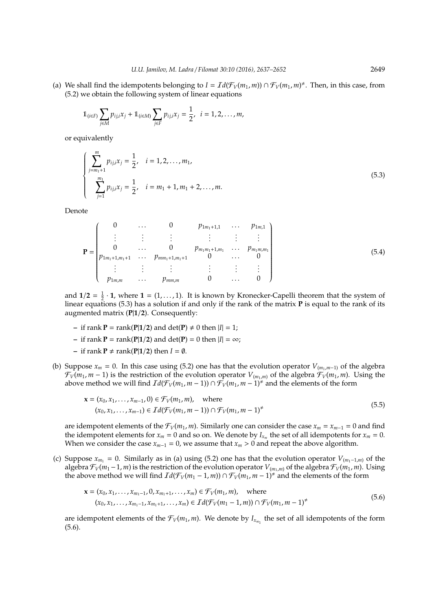(a) We shall find the idempotents belonging to  $I = Id(\mathcal{F}_V(m_1, m)) \cap \mathcal{F}_V(m_1, m)^{\neq}$ . Then, in this case, from (5.2) we obtain the following system of linear equations

$$
\mathbb{1}_{(i \in F)} \sum_{j \in M} p_{ij,i} x_j + \mathbb{1}_{(i \in M)} \sum_{j \in F} p_{ij,i} x_j = \frac{1}{2}, \ \ i = 1, 2, \ldots, m,
$$

or equivalently

$$
\begin{cases}\n\sum_{j=m_1+1}^{m} p_{ij,i}x_j = \frac{1}{2}, & i = 1, 2, ..., m_1, \\
\sum_{j=1}^{m_1} p_{ij,i}x_j = \frac{1}{2}, & i = m_1+1, m_1+2, ..., m.\n\end{cases}
$$
\n(5.3)

Denote

$$
\mathbf{P} = \begin{pmatrix}\n0 & \dots & 0 & p_{1m_1+1,1} & \dots & p_{1m,1} \\
\vdots & \vdots & \vdots & & \vdots & \vdots \\
0 & \dots & 0 & p_{m_1m_1+1,m_1} & \dots & p_{m_1m,m_1} \\
p_{1m_1+1,m_1+1} & \dots & p_{mm_1+1,m_1+1} & 0 & \dots & 0 \\
\vdots & \vdots & \vdots & & \vdots & \vdots \\
p_{1m,m} & \dots & p_{mm,m} & 0 & \dots & 0\n\end{pmatrix}
$$
\n(5.4)

and  $1/2 = \frac{1}{2} \cdot 1$ , where  $1 = (1, \ldots, 1)$ . It is known by Kronecker-Capelli theorem that the system of linear equations (5.3) has a solution if and only if the rank of the matrix **P** is equal to the rank of its augmented matrix (**P**|**1**/**2**). Consequently:

- **–** if rank  $P = \text{rank}(P|1/2)$  and  $\det(P) \neq 0$  then  $|I| = 1$ ;
- $\blacksquare$  if rank  $\mathbf{P} = \text{rank}(\mathbf{P}|\mathbf{1}/2)$  and  $\det(\mathbf{P}) = 0$  then  $|I| = \infty$ ;
- $-$  if rank  $P \neq \text{rank}(P|1/2)$  then  $I = \emptyset$ .
- (b) Suppose  $x_m = 0$ . In this case using (5.2) one has that the evolution operator  $V_{(m_1,m-1)}$  of the algebra  $\mathcal{F}_V(m_1, m-1)$  is the restriction of the evolution operator  $V_{(m_1,m)}$  of the algebra  $\mathcal{F}_V(m_1, m)$ . Using the above method we will find  $Id(\mathcal{F}_V(m_1, m-1)) \cap \mathcal{F}_V(m_1, m-1)^{\neq}$  and the elements of the form

$$
\mathbf{x} = (x_0, x_1, \dots, x_{m-1}, 0) \in \mathcal{F}_V(m_1, m), \quad \text{where}
$$
  
\n
$$
(x_0, x_1, \dots, x_{m-1}) \in Id(\mathcal{F}_V(m_1, m-1)) \cap \mathcal{F}_V(m_1, m-1)^{+}
$$
\n(5.5)

are idempotent elements of the  $\mathcal{F}_V(m_1, m)$ . Similarly one can consider the case  $x_m = x_{m-1} = 0$  and find the idempotent elements for  $x_m = 0$  and so on. We denote by  $I_{x_m}$  the set of all idempotents for  $x_m = 0$ . When we consider the case  $x_{m-1} = 0$ , we assume that  $x_m > 0$  and repeat the above algorithm.

(c) Suppose  $x_{m_1} = 0$ . Similarly as in (a) using (5.2) one has that the evolution operator  $V_{(m_1-1,m)}$  of the algebra F*V*(*m*1−1, *m*) is the restriction of the evolution operator *V*(*m*1,*m*) of the algebra F*V*(*m*1, *m*). Using the above method we will find  $Id(\mathcal{F}_V(m_1 - 1, m)) \cap \mathcal{F}_V(m_1, m - 1)^{\neq}$  and the elements of the form

$$
\mathbf{x} = (x_0, x_1, \dots, x_{m_1-1}, 0, x_{m_1+1}, \dots, x_m) \in \mathcal{F}_V(m_1, m), \quad \text{where}
$$
  

$$
(x_0, x_1, \dots, x_{m_1-1}, x_{m_1+1}, \dots, x_m) \in \mathcal{I}d(\mathcal{F}_V(m_1 - 1, m)) \cap \mathcal{F}_V(m_1, m - 1)^{\neq}
$$
 (5.6)

are idempotent elements of the  $\mathcal{F}_V(m_1, m)$ . We denote by  $I_{x_{m_1}}$  the set of all idempotents of the form (5.6).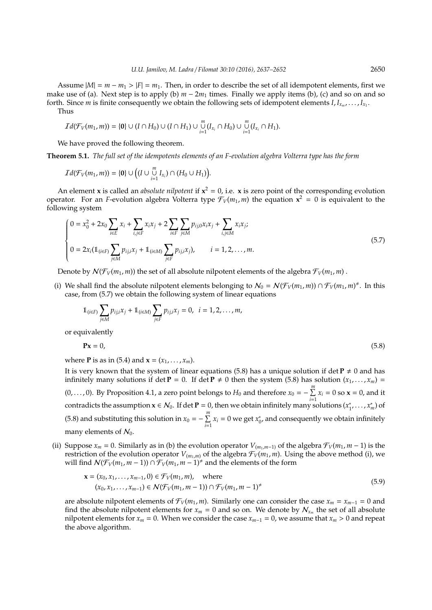Assume  $|M| = m - m_1 > |F| = m_1$ . Then, in order to describe the set of all idempotent elements, first we make use of (a). Next step is to apply (b)  $m - 2m_1$  times. Finally we apply items (b), (c) and so on and so forth. Since *m* is finite consequently we obtain the following sets of idempotent elements  $I, I_{x_m}, \ldots, I_{x_1}$ .

Thus

$$
Id(\mathcal{F}_V(m_1,m)) = \{0\} \cup (I \cap H_0) \cup (I \cap H_1) \cup \bigcup_{i=1}^m (I_{x_i} \cap H_0) \cup \bigcup_{i=1}^m (I_{x_i} \cap H_1).
$$

We have proved the following theorem.

**Theorem 5.1.** *The full set of the idempotents elements of an F-evolution algebra Volterra type has the form*

$$
Id(\mathcal{F}_V(m_1,m))=\{\mathbf{0}\}\cup\big((I\cup\bigcup_{i=1}^m I_{x_i})\cap (H_0\cup H_1)\big).
$$

An element **x** is called an *absolute nilpotent* if  $x^2 = 0$ , i.e. **x** is zero point of the corresponding evolution operator. For an *F*-evolution algebra Volterra type  $\mathcal{F}_V(m_1, m)$  the equation  $x^2 = 0$  is equivalent to the following system

$$
\begin{cases}\n0 = x_0^2 + 2x_0 \sum_{i \in E} x_i + \sum_{i,j \in F} x_i x_j + 2 \sum_{i \in F} \sum_{j \in M} p_{ij,0} x_i x_j + \sum_{i,j \in M} x_i x_j \\
0 = 2x_i (\mathbb{1}_{\{i \in F\}} \sum_{j \in M} p_{ij,i} x_j + \mathbb{1}_{\{i \in M\}} \sum_{j \in F} p_{ij,i} x_j), \qquad i = 1, 2, ..., m.\n\end{cases}
$$
\n(5.7)

Denote by  $N(\mathcal{F}_V(m_1, m))$  the set of all absolute nilpotent elements of the algebra  $\mathcal{F}_V(m_1, m)$ .

(i) We shall find the absolute nilpotent elements belonging to  $N_0 = N(\mathcal{F}_V(m_1, m)) \cap \mathcal{F}_V(m_1, m)^*$ . In this case, from (5.7) we obtain the following system of linear equations

$$
\mathbb{1}_{(i\in F)}\sum_{j\in M}p_{ij,i}x_j+\mathbb{1}_{(i\in M)}\sum_{j\in F}p_{ij,i}x_j=0, \ \ i=1,2,\ldots,m,
$$

or equivalently

$$
\mathbf{P}\mathbf{x} = 0,\tag{5.8}
$$

where **P** is as in (5.4) and  $\mathbf{x} = (x_1, ..., x_m)$ .

It is very known that the system of linear equations (5.8) has a unique solution if det  $P \neq 0$  and has infinitely many solutions if det **P** = 0. If det **P**  $\neq$  0 then the system (5.8) has solution (*x*<sub>1</sub>, . . . , *x*<sub>*m*</sub>) = (0, . . . , 0). By Proposition 4.1, a zero point belongs to  $H_0$  and therefore  $x_0 = -\sum_{n=1}^{m}$  $\sum_{i=1}$   $x_i = 0$  so  $\mathbf{x} = 0$ , and it contradicts the assumption  $x \in \mathcal{N}_0$ . If det **P** = 0, then we obtain infinitely many solutions ( $x_1^*$  $x_{1}^{*}, \ldots, x_{m}^{*}$ ) of (5.8) and substituting this solution in  $x_0 = -\sum_{n=1}^{m}$  $\sum_{i=1}^{m} x_i = 0$  we get  $x_0^*$  $_{0'}^*$  and consequently we obtain infinitely many elements of  $N_0$ .

(ii) Suppose  $x_m = 0$ . Similarly as in (b) the evolution operator  $V_{(m_1,m-1)}$  of the algebra  $\mathcal{F}_V(m_1, m-1)$  is the restriction of the evolution operator  $V_{(m_1,m)}$  of the algebra  $\mathcal{F}_V(m_1,m)$ . Using the above method (i), we will find  $N(F_V(m_1, m-1)) \cap F_V(m_1, m-1)^{≠}$  and the elements of the form

$$
\mathbf{x} = (x_0, x_1, \dots, x_{m-1}, 0) \in \mathcal{F}_V(m_1, m), \text{ where}
$$
  
\n
$$
(x_0, x_1, \dots, x_{m-1}) \in \mathcal{N}(\mathcal{F}_V(m_1, m-1)) \cap \mathcal{F}_V(m_1, m-1)^{\neq}
$$
\n(5.9)

are absolute nilpotent elements of  $\mathcal{F}_V(m_1, m)$ . Similarly one can consider the case  $x_m = x_{m-1} = 0$  and find the absolute nilpotent elements for  $x_m = 0$  and so on. We denote by  $\mathcal{N}_{x_m}$  the set of all absolute nilpotent elements for  $x_m = 0$ . When we consider the case  $x_{m-1} = 0$ , we assume that  $x_m > 0$  and repeat the above algorithm.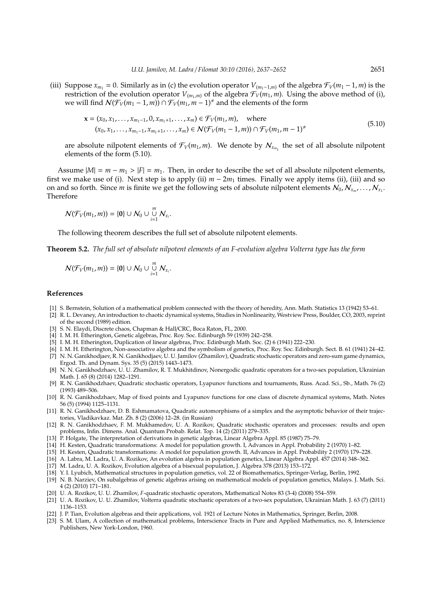(iii) Suppose  $x_{m_1} = 0$ . Similarly as in (c) the evolution operator  $V_{(m_1-1,m)}$  of the algebra  $\mathcal{F}_V(m_1-1,m)$  is the restriction of the evolution operator  $V_{(m_1,m)}$  of the algebra  $\mathcal{F}_V(m_1,m)$ . Using the above method of (i), we will find  $N(F_V(m_1 – 1, m))$  ∩  $F_V(m_1, m – 1)$ <sup>≠</sup> and the elements of the form

$$
\mathbf{x} = (x_0, x_1, \dots, x_{m_1 - 1}, 0, x_{m_1 + 1}, \dots, x_m) \in \mathcal{F}_V(m_1, m), \quad \text{where}
$$
  

$$
(x_0, x_1, \dots, x_{m_1 - 1}, x_{m_1 + 1}, \dots, x_m) \in \mathcal{N}(\mathcal{F}_V(m_1 - 1, m)) \cap \mathcal{F}_V(m_1, m - 1)^{\neq}
$$
 (5.10)

are absolute nilpotent elements of  $\mathcal{F}_V(m_1, m)$ . We denote by  $\mathcal{N}_{x_{m_1}}$  the set of all absolute nilpotent elements of the form (5.10).

Assume  $|M| = m - m_1 > |F| = m_1$ . Then, in order to describe the set of all absolute nilpotent elements, first we make use of (i). Next step is to apply (ii)  $m - 2m_1$  times. Finally we apply items (ii), (iii) and so on and so forth. Since *m* is finite we get the following sets of absolute nilpotent elements  $N_0, N_{x_m}, \ldots, N_{x_1}$ . Therefore

$$
\mathcal{N}(\mathcal{F}_V(m_1,m)) = \{0\} \cup \mathcal{N}_0 \cup \bigcup_{i=1}^m \mathcal{N}_{x_i}.
$$

The following theorem describes the full set of absolute nilpotent elements.

**Theorem 5.2.** *The full set of absolute nilpotent elements of an F-evolution algebra Volterra type has the form*

$$
\mathcal{N}(\mathcal{F}_V(m_1,m)) = \{0\} \cup \mathcal{N}_0 \cup \bigcup_{i=1}^m \mathcal{N}_{x_i}.
$$

#### **References**

- [1] S. Bernstein, Solution of a mathematical problem connected with the theory of heredity, Ann. Math. Statistics 13 (1942) 53–61.
- [2] R. L. Devaney, An introduction to chaotic dynamical systems, Studies in Nonlinearity, Westview Press, Boulder, CO, 2003, reprint of the second (1989) edition.
- [3] S. N. Elaydi, Discrete chaos, Chapman & Hall/CRC, Boca Raton, FL, 2000.
- [4] I. M. H. Etherington, Genetic algebras, Proc. Roy. Soc. Edinburgh 59 (1939) 242–258.
- [5] I. M. H. Etherington, Duplication of linear algebras, Proc. Edinburgh Math. Soc. (2) 6 (1941) 222–230.
- [6] I. M. H. Etherington, Non-associative algebra and the symbolism of genetics, Proc. Roy. Soc. Edinburgh. Sect. B. 61 (1941) 24–42.
- [7] N. N. Ganikhodjaev, R. N. Ganikhodjaev, U. U. Jamilov (Zhamilov), Quadratic stochastic operators and zero-sum game dynamics, Ergod. Th. and Dynam. Sys. 35 (5) (2015) 1443–1473.
- [8] N. N. Ganikhodzhaev, U. U. Zhamilov, R. T. Mukhitdinov, Nonergodic quadratic operators for a two-sex population, Ukrainian Math. J. 65 (8) (2014) 1282–1291.
- [9] R. N. Ganikhodzhaev, Quadratic stochastic operators, Lyapunov functions and tournaments, Russ. Acad. Sci., Sb., Math. 76 (2) (1993) 489–506.
- [10] R. N. Ganikhodzhaev, Map of fixed points and Lyapunov functions for one class of discrete dynamical systems, Math. Notes 56 (5) (1994) 1125–1131.
- [11] R. N. Ganikhodzhaev, D. B. Eshmamatova, Quadratic automorphisms of a simplex and the asymptotic behavior of their trajectories, Vladikavkaz. Mat. Zh. 8 (2) (2006) 12–28. (in Russian)
- [12] R. N. Ganikhodzhaev, F. M. Mukhamedov, U. A. Rozikov, Quadratic stochastic operators and processes: results and open problems, Infin. Dimens. Anal. Quantum Probab. Relat. Top. 14 (2) (2011) 279–335.
- [13] P. Holgate, The interpretation of derivations in genetic algebras, Linear Algebra Appl. 85 (1987) 75–79.
- [14] H. Kesten, Quadratic transformations: A model for population growth. I, Advances in Appl. Probability 2 (1970) 1–82.
- [15] H. Kesten, Quadratic transformations: A model for population growth. II, Advances in Appl. Probability 2 (1970) 179–228.
- [16] A. Labra, M. Ladra, U. A. Rozikov, An evolution algebra in population genetics, Linear Algebra Appl. 457 (2014) 348–362.
- [17] M. Ladra, U. A. Rozikov, Evolution algebra of a bisexual population, J. Algebra 378 (2013) 153–172.
- [18] Y. I. Lyubich, Mathematical structures in population genetics, vol. 22 of Biomathematics, Springer-Verlag, Berlin, 1992.
- [19] N. B. Narziev, On subalgebras of genetic algebras arising on mathematical models of population genetics, Malays. J. Math. Sci. 4 (2) (2010) 171–181.
- [20] U. A. Rozikov, U. U. Zhamilov, *F*-quadratic stochastic operators, Mathematical Notes 83 (3-4) (2008) 554–559.
- [21] U. A. Rozikov, U. U. Zhamilov, Volterra quadratic stochastic operators of a two-sex population, Ukrainian Math. J. 63 (7) (2011) 1136–1153.
- [22] J. P. Tian, Evolution algebras and their applications, vol. 1921 of Lecture Notes in Mathematics, Springer, Berlin, 2008.
- [23] S. M. Ulam, A collection of mathematical problems, Interscience Tracts in Pure and Applied Mathematics, no. 8, Interscience Publishers, New York-London, 1960.